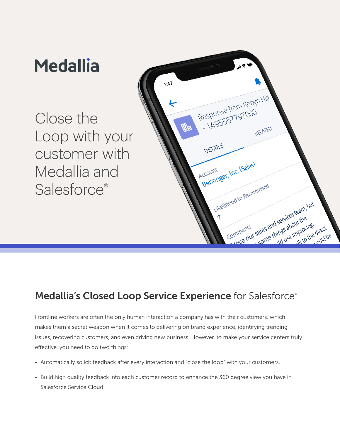### **Medallia**  $\Lambda$ :47 Response from Robyn Hill esponse from Close the RELATED Loop with your DETAILS customer with Account<br>Behringer, Inc. (Sales) Medallia and Account Likelihood to Recommend Salesforce<sup>®</sup> od to Reconnection and services team, but<br>binments ales and services team, but Comments the coving<br>nproving direct<br>alk to the unuld b ould be

# Medallia's Closed Loop Service Experience for Salesforce®

Frontline workers are often the only human interaction a company has with their customers, which makes them a secret weapon when it comes to delivering on brand experience, identifying trending issues, recovering customers, and even driving new business. However, to make your service centers truly effective, you need to do two things:

- Automatically solicit feedback after every interaction and "close the loop" with your customers.
- Build high quality feedback into each customer record to enhance the 360 degree view you have in Salesforce Service Cloud.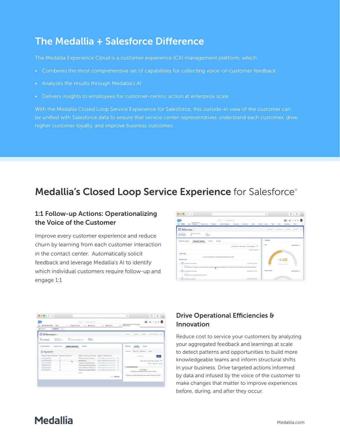### The Medallia + Salesforce Difference

The Medallia Experience Cloud is a customer experience (CX) management platform, which:

- Combines the most comprehensive set of capabilities for collecting voice-of-customer feedback
- Analyzes the results through Medallia's AI
- Delivers insights to employees for customer-centric action at enterprise scale

With the Medallia Closed Loop Service Experience for Salesforce, this outside-in view of the customer can be unified with Salesforce data to ensure that service center representatives understand each customer, drive higher customer loyalty, and improve business outcomes.

### Medallia's Closed Loop Service Experience for Salesforce®

#### 1:1 Follow-up Actions: Operationalizing the Voice of the Customer

Improve every customer experience and reduce churn by learning from each customer interaction in the contact center. Automatically solicit feedback and leverage Medallia's AI to identify which individual customers require follow-up and engage 1:1



| Service Console<br>₩<br>Cases       |                               | G Search Solesburg<br>$M - r$<br>$\vee$ $\qquad$ Agent Overview<br>@ 00001136<br>@ 00001130<br>$\times$ X<br>v x |                                     |                                                                        |     |                          | ■ 日? ©               |                                                                         |                                                                        |
|-------------------------------------|-------------------------------|------------------------------------------------------------------------------------------------------------------|-------------------------------------|------------------------------------------------------------------------|-----|--------------------------|----------------------|-------------------------------------------------------------------------|------------------------------------------------------------------------|
|                                     |                               |                                                                                                                  |                                     | $\times$ $\times$                                                      |     | @ 00001129<br>$\times$ X |                      |                                                                         |                                                                        |
| ₩ 00001129                          | [3] Stevie M., v x            |                                                                                                                  |                                     |                                                                        |     |                          |                      |                                                                         |                                                                        |
| Contact<br>Mr. Stevie Marlow A<br>Œ |                               |                                                                                                                  |                                     |                                                                        |     | + Follow                 | New Case             | New Note                                                                | Submit for Approval -                                                  |
| Tata.<br><b>Technical Manager</b>   | Phone (2) w<br>(602) 170-1212 | <b>Crapil</b><br>titic mdia demolitemail.com                                                                     | Segment<br>Promoter                 |                                                                        |     |                          |                      |                                                                         |                                                                        |
| Contact Details                     | Support Cases                 | <b>Medallía Responses</b>                                                                                        | <b>Datatod</b>                      |                                                                        |     | Merfallia                | Activity             | Chatter                                                                 |                                                                        |
| Responses (6+)<br>n                 |                               |                                                                                                                  |                                     |                                                                        | New | New Task                 | Log a Call New Event |                                                                         | <b>Croal</b>                                                           |
| Response: Medallia Feedback         |                               | Response - Main score                                                                                            | Response - Main score comment       | Response - Feedback URL                                                |     |                          |                      | Create a took.                                                          | Md.                                                                    |
| ad64P00001/WJFj                     | ×                             |                                                                                                                  | I was transferred too many times.   | https://integrations.demo.soluted v                                    |     |                          |                      |                                                                         |                                                                        |
| AMAZODO1/W-W                        | $\overline{a}$                |                                                                                                                  | Bad experience                      | https://integrations.demo.solutted w                                   |     |                          |                      |                                                                         | Filters: All time . All activities . All types T                       |
| a064P00001JWJOI                     | $\lambda$                     |                                                                                                                  | The person needs better training.   | https://integrations.demo.solumed v                                    |     |                          |                      |                                                                         | Refresh - Expand All - View All                                        |
| a064P00001L2GW                      | $\mathbf{x}$                  |                                                                                                                  | I was surprised at how long I was o | Ntro //integrations.demo.soluted v                                     |     |                          |                      |                                                                         |                                                                        |
| a064P00001L2HdL                     | $\mathbf{a}$                  |                                                                                                                  |                                     | Such a helpful team. They are so k https://integrations.demo.solumed v |     | v Upcoming & Overdue     |                      |                                                                         |                                                                        |
| a054F00001JVoty                     | $\circ$                       |                                                                                                                  |                                     |                                                                        |     |                          |                      | No next steps.<br>To get things moving, add a task or set up a meeting. |                                                                        |
|                                     |                               |                                                                                                                  | <b>View All</b>                     |                                                                        |     |                          |                      |                                                                         |                                                                        |
|                                     |                               |                                                                                                                  |                                     | <b>Insuratio Medallia</b>                                              |     |                          |                      |                                                                         | No past activity. Past meetings and tasks marked as done show up here. |

### Drive Operational Efficiencies & Innovation

Reduce cost to service your customers by analyzing your aggregated feedback and learnings at scale to detect patterns and opportunities to build more knowledgeable teams and inform structural shifts in your business. Drive targeted actions informed by data and infused by the voice of the customer to make changes that matter to improve experiences before, during, and after they occur.

### **Medallia**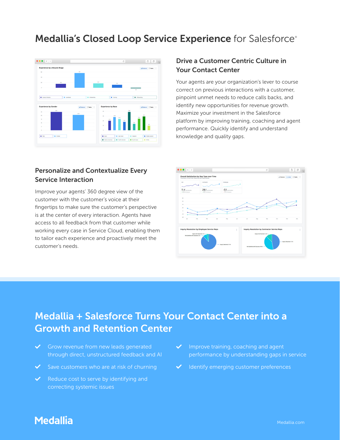### Medallia's Closed Loop Service Experience for Salesforce®



#### Drive a Customer Centric Culture in Your Contact Center

Your agents are your organization's lever to course correct on previous interactions with a customer, pinpoint unmet needs to reduce calls backs, and identify new opportunities for revenue growth. Maximize your investment in the Salesforce platform by improving training, coaching and agent performance. Quickly identify and understand knowledge and quality gaps.

### Personalize and Contextualize Every Service Interaction

Improve your agents' 360 degree view of the customer with the customer's voice at their fingertips to make sure the customer's perspective is at the center of every interaction. Agents have access to all feedback from that customer while working every case in Service Cloud, enabling them to tailor each experience and proactively meet the customer's needs.



## Medallia + Salesforce Turns Your Contact Center into a Growth and Retention Center

- $\checkmark$  Grow revenue from new leads generated through direct, unstructured feedback and AI
- $\checkmark$  Save customers who are at risk of churning
- $\blacktriangleright$  Reduce cost to serve by identifying and correcting systemic issues
- $\blacktriangleright$  Improve training, coaching and agent performance by understanding gaps in service
- Identify emerging customer preferences

### **Medallia**